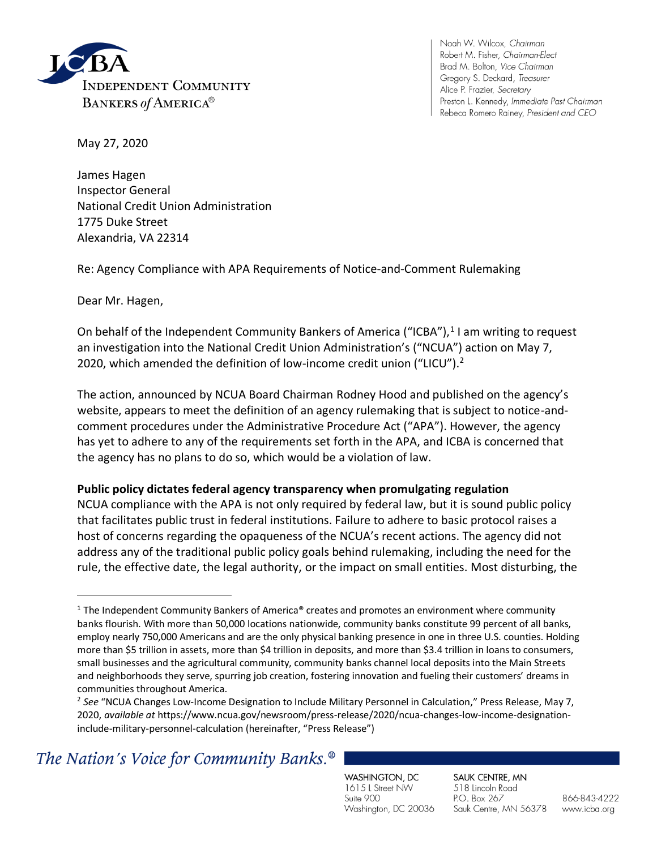

Noah W. Wilcox, Chairman Robert M. Fisher, Chairman-Elect Brad M. Bolton, Vice Chairman Gregory S. Deckard, Treasurer Alice P. Frazier, Secretary Preston L. Kennedy, Immediate Past Chairman Rebeca Romero Rainey, President and CEO

May 27, 2020

James Hagen Inspector General National Credit Union Administration 1775 Duke Street Alexandria, VA 22314

Re: Agency Compliance with APA Requirements of Notice-and-Comment Rulemaking

Dear Mr. Hagen,

On behalf of the Independent Community Bankers of America ("ICBA"),<sup>1</sup> I am writing to request an investigation into the National Credit Union Administration's ("NCUA") action on May 7, 2020, which amended the definition of low-income credit union ("LICU").<sup>2</sup>

The action, announced by NCUA Board Chairman Rodney Hood and published on the agency's website, appears to meet the definition of an agency rulemaking that is subject to notice-andcomment procedures under the Administrative Procedure Act ("APA"). However, the agency has yet to adhere to any of the requirements set forth in the APA, and ICBA is concerned that the agency has no plans to do so, which would be a violation of law.

#### **Public policy dictates federal agency transparency when promulgating regulation**

NCUA compliance with the APA is not only required by federal law, but it is sound public policy that facilitates public trust in federal institutions. Failure to adhere to basic protocol raises a host of concerns regarding the opaqueness of the NCUA's recent actions. The agency did not address any of the traditional public policy goals behind rulemaking, including the need for the rule, the effective date, the legal authority, or the impact on small entities. Most disturbing, the

# The Nation's Voice for Community Banks.<sup>®</sup>

WASHINGTON, DC 1615 L Street NW Suite 900 Washington, DC 20036 SAUK CENTRE, MN 518 Lincoln Road P.O. Box 267 Sauk Centre, MN 56378

 $1$  The Independent Community Bankers of America® creates and promotes an environment where community banks flourish. With more than 50,000 locations nationwide, community banks constitute 99 percent of all banks, employ nearly 750,000 Americans and are the only physical banking presence in one in three U.S. counties. Holding more than \$5 trillion in assets, more than \$4 trillion in deposits, and more than \$3.4 trillion in loans to consumers, small businesses and the agricultural community, community banks channel local deposits into the Main Streets and neighborhoods they serve, spurring job creation, fostering innovation and fueling their customers' dreams in communities throughout America.

<sup>&</sup>lt;sup>2</sup> See "NCUA Changes Low-Income Designation to Include Military Personnel in Calculation," Press Release, May 7, 2020, *available at* https://www.ncua.gov/newsroom/press-release/2020/ncua-changes-low-income-designationinclude-military-personnel-calculation (hereinafter, "Press Release")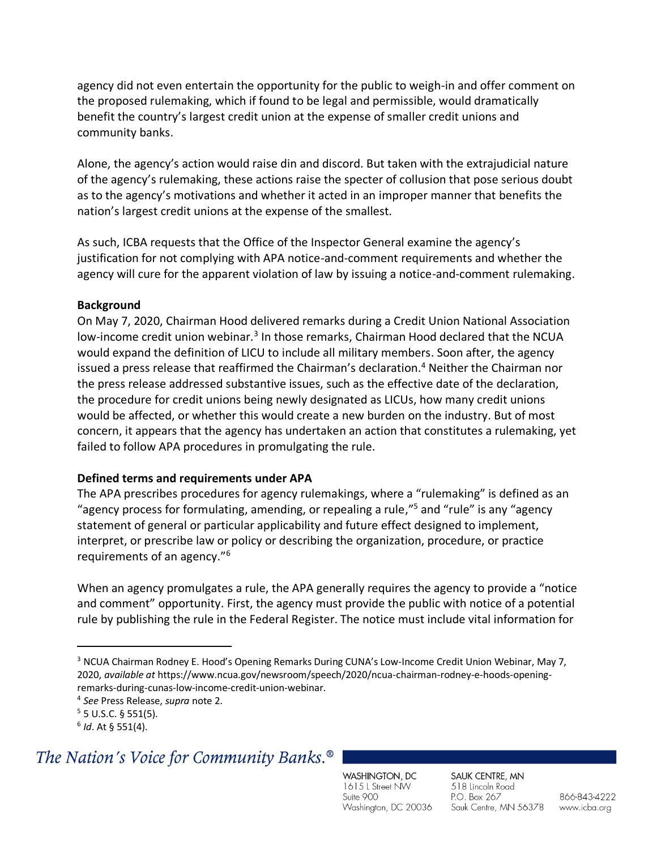agency did not even entertain the opportunity for the public to weigh-in and offer comment on the proposed rulemaking, which if found to be legal and permissible, would dramatically benefit the country's largest credit union at the expense of smaller credit unions and community banks.

Alone, the agency's action would raise din and discord. But taken with the extrajudicial nature of the agency's rulemaking, these actions raise the specter of collusion that pose serious doubt as to the agency's motivations and whether it acted in an improper manner that benefits the nation's largest credit unions at the expense of the smallest.

As such, ICBA requests that the Office of the Inspector General examine the agency's justification for not complying with APA notice-and-comment requirements and whether the agency will cure for the apparent violation of law by issuing a notice-and-comment rulemaking.

### **Background**

On May 7, 2020, Chairman Hood delivered remarks during a Credit Union National Association low-income credit union webinar.<sup>3</sup> In those remarks, Chairman Hood declared that the NCUA would expand the definition of LICU to include all military members. Soon after, the agency issued a press release that reaffirmed the Chairman's declaration.<sup>4</sup> Neither the Chairman nor the press release addressed substantive issues, such as the effective date of the declaration, the procedure for credit unions being newly designated as LICUs, how many credit unions would be affected, or whether this would create a new burden on the industry. But of most concern, it appears that the agency has undertaken an action that constitutes a rulemaking, yet failed to follow APA procedures in promulgating the rule.

### **Defined terms and requirements under APA**

The APA prescribes procedures for agency rulemakings, where a "rulemaking" is defined as an "agency process for formulating, amending, or repealing a rule,"<sup>5</sup> and "rule" is any "agency statement of general or particular applicability and future effect designed to implement, interpret, or prescribe law or policy or describing the organization, procedure, or practice requirements of an agency."<sup>6</sup>

When an agency promulgates a rule, the APA generally requires the agency to provide a "notice and comment" opportunity. First, the agency must provide the public with notice of a potential rule by publishing the rule in the Federal Register. The notice must include vital information for

## The Nation's Voice for Community Banks.<sup>®</sup>

WASHINGTON, DC 1615 L Street NW Suite 900 Washington, DC 20036

SAUK CENTRE, MN 518 Lincoln Road P.O. Box 267 Sauk Centre, MN 56378

866-843-4222 www.icba.org

<sup>3</sup> NCUA Chairman Rodney E. Hood's Opening Remarks During CUNA's Low-Income Credit Union Webinar, May 7, 2020, *available at* https://www.ncua.gov/newsroom/speech/2020/ncua-chairman-rodney-e-hoods-openingremarks-during-cunas-low-income-credit-union-webinar.

<sup>4</sup> *See* Press Release, *supra* note 2.

 $5$  5 U.S.C. § 551(5).

<sup>6</sup> *Id*. At § 551(4).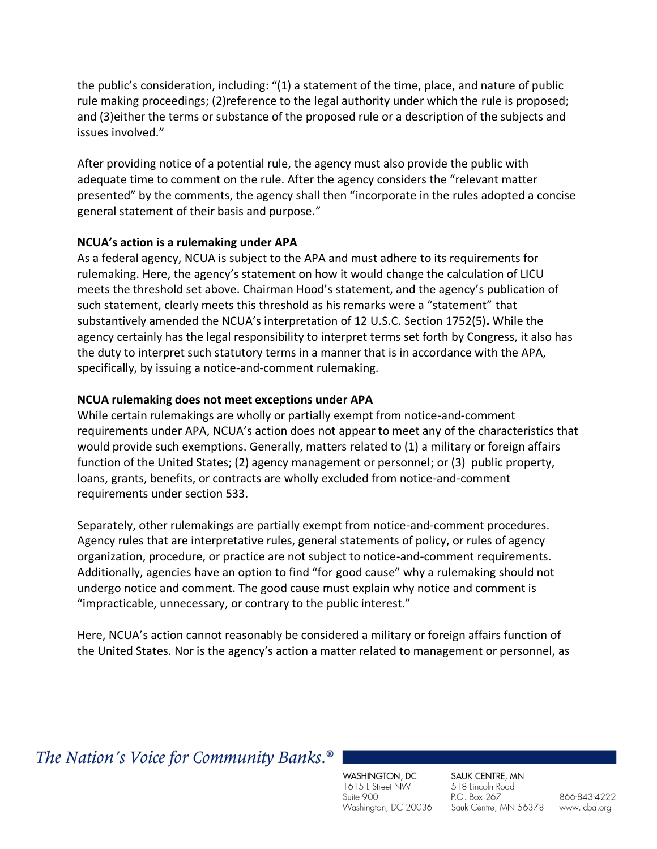the public's consideration, including: "(1) a statement of the time, place, and nature of public rule making proceedings; (2)reference to the legal authority under which the rule is proposed; and (3)either the terms or substance of the proposed rule or a description of the subjects and issues involved."

After providing notice of a potential rule, the agency must also provide the public with adequate time to comment on the rule. After the agency considers the "relevant matter presented" by the comments, the agency shall then "incorporate in the rules adopted a concise general statement of their basis and purpose."

#### **NCUA's action is a rulemaking under APA**

As a federal agency, NCUA is subject to the APA and must adhere to its requirements for rulemaking. Here, the agency's statement on how it would change the calculation of LICU meets the threshold set above. Chairman Hood's statement, and the agency's publication of such statement, clearly meets this threshold as his remarks were a "statement" that substantively amended the NCUA's interpretation of 12 U.S.C. Section 1752(5)**.** While the agency certainly has the legal responsibility to interpret terms set forth by Congress, it also has the duty to interpret such statutory terms in a manner that is in accordance with the APA, specifically, by issuing a notice-and-comment rulemaking.

#### **NCUA rulemaking does not meet exceptions under APA**

While certain rulemakings are wholly or partially exempt from notice-and-comment requirements under APA, NCUA's action does not appear to meet any of the characteristics that would provide such exemptions. Generally, matters related to (1) a military or foreign affairs function of the United States; (2) agency management or personnel; or (3) public property, loans, grants, benefits, or contracts are wholly excluded from notice-and-comment requirements under section 533.

Separately, other rulemakings are partially exempt from notice-and-comment procedures. Agency rules that are interpretative rules, general statements of policy, or rules of agency organization, procedure, or practice are not subject to notice-and-comment requirements. Additionally, agencies have an option to find "for good cause" why a rulemaking should not undergo notice and comment. The good cause must explain why notice and comment is "impracticable, unnecessary, or contrary to the public interest."

Here, NCUA's action cannot reasonably be considered a military or foreign affairs function of the United States. Nor is the agency's action a matter related to management or personnel, as

## The Nation's Voice for Community Banks.<sup>®</sup>

WASHINGTON, DC 1615 L Street NW Suite 900 Washington, DC 20036

SAUK CENTRE, MN 518 Lincoln Road P.O. Box 267 Sauk Centre, MN 56378

866-843-4222 www.icba.org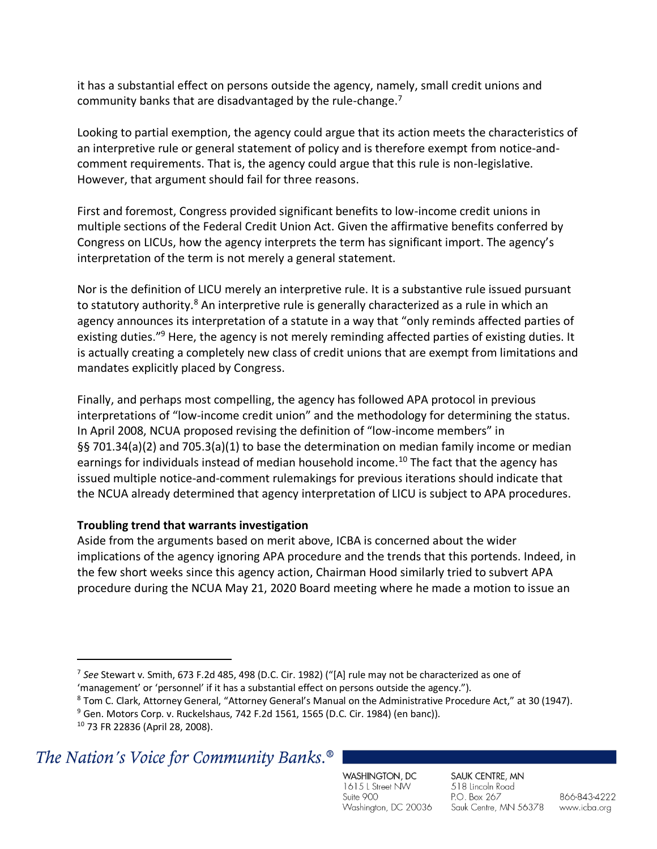it has a substantial effect on persons outside the agency, namely, small credit unions and community banks that are disadvantaged by the rule-change.<sup>7</sup>

Looking to partial exemption, the agency could argue that its action meets the characteristics of an interpretive rule or general statement of policy and is therefore exempt from notice-andcomment requirements. That is, the agency could argue that this rule is non-legislative. However, that argument should fail for three reasons.

First and foremost, Congress provided significant benefits to low-income credit unions in multiple sections of the Federal Credit Union Act. Given the affirmative benefits conferred by Congress on LICUs, how the agency interprets the term has significant import. The agency's interpretation of the term is not merely a general statement.

Nor is the definition of LICU merely an interpretive rule. It is a substantive rule issued pursuant to statutory authority.<sup>8</sup> An interpretive rule is generally characterized as a rule in which an agency announces its interpretation of a statute in a way that "only reminds affected parties of existing duties."<sup>9</sup> Here, the agency is not merely reminding affected parties of existing duties. It is actually creating a completely new class of credit unions that are exempt from limitations and mandates explicitly placed by Congress.

Finally, and perhaps most compelling, the agency has followed APA protocol in previous interpretations of "low-income credit union" and the methodology for determining the status. In April 2008, NCUA proposed revising the definition of "low-income members" in §§ 701.34(a)(2) and 705.3(a)(1) to base the determination on median family income or median earnings for individuals instead of median household income.<sup>10</sup> The fact that the agency has issued multiple notice-and-comment rulemakings for previous iterations should indicate that the NCUA already determined that agency interpretation of LICU is subject to APA procedures.

### **Troubling trend that warrants investigation**

Aside from the arguments based on merit above, ICBA is concerned about the wider implications of the agency ignoring APA procedure and the trends that this portends. Indeed, in the few short weeks since this agency action, Chairman Hood similarly tried to subvert APA procedure during the NCUA May 21, 2020 Board meeting where he made a motion to issue an

## The Nation's Voice for Community Banks.<sup>®</sup>

WASHINGTON, DC 1615 L Street NW Suite 900 Washington, DC 20036

SAUK CENTRE, MN 518 Lincoln Road P.O. Box 267 Sauk Centre, MN 56378

<sup>7</sup> *See* Stewart v. Smith, 673 F.2d 485, 498 (D.C. Cir. 1982) ("[A] rule may not be characterized as one of 'management' or 'personnel' if it has a substantial effect on persons outside the agency.").

<sup>8</sup> Tom C. Clark, Attorney General, "Attorney General's Manual on the Administrative Procedure Act," at 30 (1947).

 $9$  Gen. Motors Corp. v. Ruckelshaus, 742 F.2d 1561, 1565 (D.C. Cir. 1984) (en banc)).

<sup>10</sup> 73 FR 22836 (April 28, 2008).